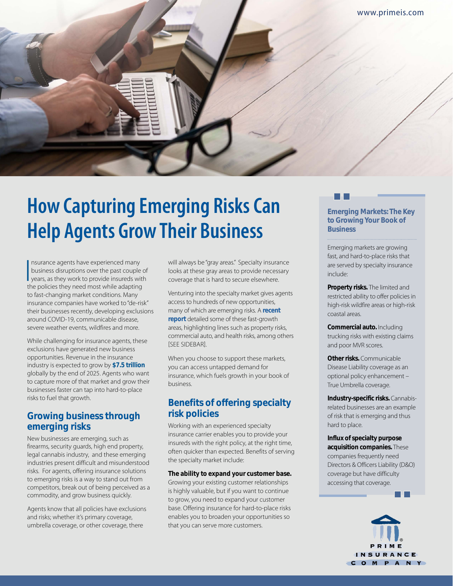

# **How Capturing Emerging Risks Can Help Agents Grow Their Business**

Insurance agents have experienced many<br>business disruptions over the past couple of<br>years, as they work to provide insureds with<br>the policies they need most while adapting nsurance agents have experienced many business disruptions over the past couple of the policies they need most while adapting to fast-changing market conditions. Many insurance companies have worked to "de-risk" their businesses recently, developing exclusions around COVID-19, communicable disease, severe weather events, wildfires and more.

While challenging for insurance agents, these exclusions have generated new business opportunities. Revenue in the insurance industry is expected to grow by **[\\$7.5 trillion](https://insuranceblog.accenture.com/5-predictions-insurance-industry-2022)** globally by the end of 2025. Agents who want to capture more of that market and grow their businesses faster can tap into hard-to-place risks to fuel that growth.

## **Growing business through emerging risks**

New businesses are emerging, such as firearms, security guards, high end property, legal cannabis industry, and these emerging industries present difficult and misunderstood risks. For agents, offering insurance solutions to emerging risks is a way to stand out from competitors, break out of being perceived as a commodity, and grow business quickly.

Agents know that all policies have exclusions and risks; whether it's primary coverage, umbrella coverage, or other coverage, there

will always be "gray areas." Specialty insurance looks at these gray areas to provide necessary coverage that is hard to secure elsewhere.

Venturing into the specialty market gives agents access to hundreds of new opportunities, many of which are emerging risks. A **[recent](https://www.primeis.com/wp-content/uploads/2021/09/PIC_Report_Q2_Q3_2021.pdf#page=4)  [report](https://www.primeis.com/wp-content/uploads/2021/09/PIC_Report_Q2_Q3_2021.pdf#page=4)** detailed some of these fast-growth areas, highlighting lines such as property risks, commercial auto, and health risks, among others **[SEE SIDEBAR].** 

When you choose to support these markets, you can access untapped demand for insurance, which fuels growth in your book of business.

## **Benefits of offering specialty risk policies**

Working with an experienced specialty insurance carrier enables you to provide your insureds with the right policy, at the right time, often quicker than expected. Benefits of serving the specialty market include:

**The ability to expand your customer base.**  Growing your existing customer relationships is highly valuable, but if you want to continue to grow, you need to expand your customer base. Offering insurance for hard-to-place risks enables you to broaden your opportunities so that you can serve more customers.

### **Emerging Markets: The Key to Growing Your Book of Business**

Emerging markets are growing fast, and hard-to-place risks that are served by specialty insurance include:

**Property risks.** The limited and restricted ability to offer policies in high-risk wildfire areas or high-risk coastal areas.

**Commercial auto.** Including trucking risks with existing claims and poor MVR scores.

**Other risks.** Communicable Disease Liability coverage as an optional policy enhancement – True Umbrella coverage.

**Industry-specific risks.** Cannabisrelated businesses are an example of risk that is emerging and thus hard to place.

**Influx of specialty purpose acquisition companies.** These companies frequently need Directors & Officers Liability (D&O) coverage but have difficulty accessing that coverage.